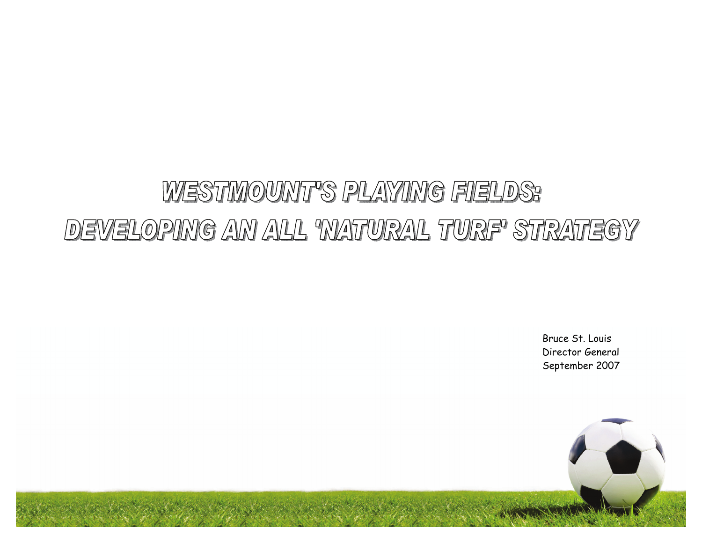# WESTMOUNT'S PLAYING FIELDS: DEVELOPING AN ALL 'NATURAL TURF' STRATEGY

Bruce St. Louis Director General September 2007

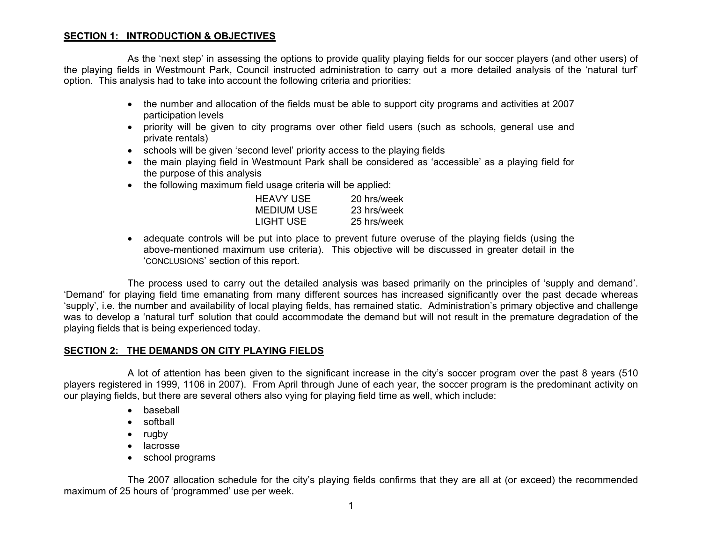## **SECTION 1: INTRODUCTION & OBJECTIVES**

 As the 'next step' in assessing the options to provide quality playing fields for our soccer players (and other users) of the playing fields in Westmount Park, Council instructed administration to carry out a more detailed analysis of the 'natural turf' option. This analysis had to take into account the following criteria and priorities:

- the number and allocation of the fields must be able to support city programs and activities at 2007 participation levels
- priority will be given to city programs over other field users (such as schools, general use and private rentals)
- schools will be given 'second level' priority access to the playing fields
- the main playing field in Westmount Park shall be considered as 'accessible' as a playing field for the purpose of this analysis
- the following maximum field usage criteria will be applied:

| <b>HEAVY USE</b>  | 20 hrs/week |
|-------------------|-------------|
| <b>MEDIUM USE</b> | 23 hrs/week |
| LIGHT USE         | 25 hrs/week |

• adequate controls will be put into place to prevent future overuse of the playing fields (using the above-mentioned maximum use criteria). This objective will be discussed in greater detail in the 'CONCLUSIONS' section of this report.

The process used to carry out the detailed analysis was based primarily on the principles of 'supply and demand'. 'Demand' for playing field time emanating from many different sources has increased significantly over the past decade whereas 'supply', i.e. the number and availability of local playing fields, has remained static. Administration's primary objective and challenge was to develop a 'natural turf' solution that could accommodate the demand but will not result in the premature degradation of the playing fields that is being experienced today.

#### **SECTION 2: THE DEMANDS ON CITY PLAYING FIELDS**

A lot of attention has been given to the significant increase in the city's soccer program over the past 8 years (510 players registered in 1999, 1106 in 2007). From April through June of each year, the soccer program is the predominant activity on our playing fields, but there are several others also vying for playing field time as well, which include:

- baseball
- softball
- rugby
- lacrosse
- school programs

The 2007 allocation schedule for the city's playing fields confirms that they are all at (or exceed) the recommended maximum of 25 hours of 'programmed' use per week.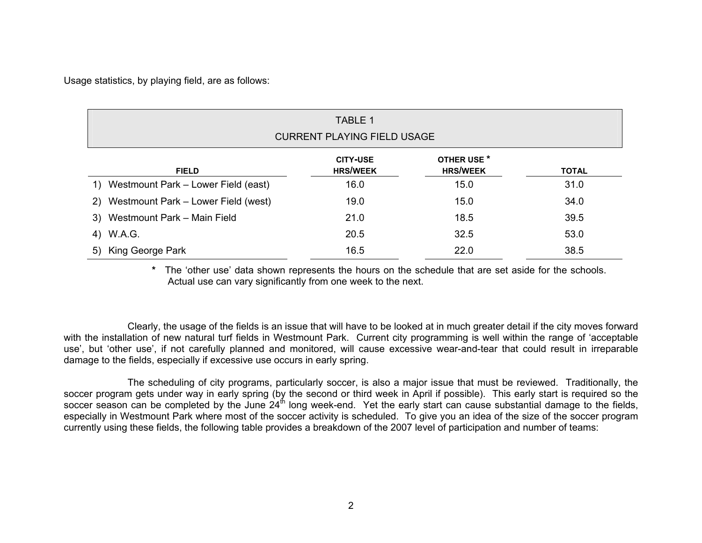Usage statistics, by playing field, are as follows:

| TABLE 1<br><b>CURRENT PLAYING FIELD USAGE</b> |                                    |                                |              |  |  |
|-----------------------------------------------|------------------------------------|--------------------------------|--------------|--|--|
| <b>FIELD</b>                                  | <b>CITY-USE</b><br><b>HRS/WEEK</b> | OTHER USE *<br><b>HRS/WEEK</b> | <b>TOTAL</b> |  |  |
| 1) Westmount Park – Lower Field (east)        | 16.0                               | 15.0                           | 31.0         |  |  |
| 2) Westmount Park – Lower Field (west)        | 19.0                               | 15.0                           | 34.0         |  |  |
| 3) Westmount Park - Main Field                | 21.0                               | 18.5                           | 39.5         |  |  |
| 4) W.A.G.                                     | 20.5                               | 32.5                           | 53.0         |  |  |
| King George Park<br>5)                        | 16.5                               | 22.0                           | 38.5         |  |  |

**\*** The 'other use' data shown represents the hours on the schedule that are set aside for the schools. Actual use can vary significantly from one week to the next.

Clearly, the usage of the fields is an issue that will have to be looked at in much greater detail if the city moves forward with the installation of new natural turf fields in Westmount Park. Current city programming is well within the range of 'acceptable use', but 'other use', if not carefully planned and monitored, will cause excessive wear-and-tear that could result in irreparable damage to the fields, especially if excessive use occurs in early spring.

The scheduling of city programs, particularly soccer, is also a major issue that must be reviewed. Traditionally, the soccer program gets under way in early spring (by the second or third week in April if possible). This early start is required so the soccer season can be completed by the June  $24<sup>th</sup>$  long week-end. Yet the early start can cause substantial damage to the fields, especially in Westmount Park where most of the soccer activity is scheduled. To give you an idea of the size of the soccer program currently using these fields, the following table provides a breakdown of the 2007 level of participation and number of teams: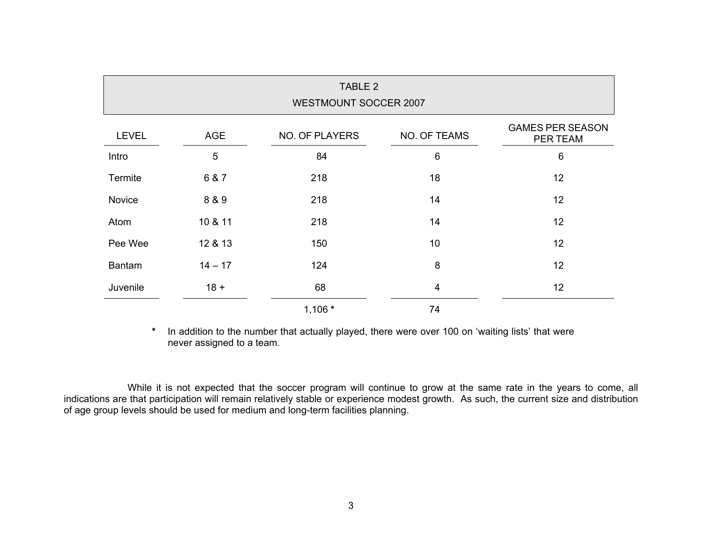| TABLE 2<br><b>WESTMOUNT SOCCER 2007</b> |            |                       |              |                                     |  |  |
|-----------------------------------------|------------|-----------------------|--------------|-------------------------------------|--|--|
| <b>LEVEL</b>                            | <b>AGE</b> | <b>NO. OF PLAYERS</b> | NO. OF TEAMS | <b>GAMES PER SEASON</b><br>PER TEAM |  |  |
| Intro                                   | 5          | 84                    | $\,6$        | $6\,$                               |  |  |
| Termite                                 | 6 & 7      | 218                   | 18           | 12                                  |  |  |
| Novice                                  | 8 & 9      | 218                   | 14           | 12                                  |  |  |
| Atom                                    | 10 & 11    | 218                   | 14           | 12                                  |  |  |
| Pee Wee                                 | 12 & 13    | 150                   | 10           | 12                                  |  |  |
| <b>Bantam</b>                           | $14 - 17$  | 124                   | 8            | 12                                  |  |  |
| Juvenile                                | $18 +$     | 68                    | 4            | 12                                  |  |  |
|                                         |            | $1,106*$              | 74           |                                     |  |  |

**\*** In addition to the number that actually played, there were over 100 on 'waiting lists' that were never assigned to a team.

While it is not expected that the soccer program will continue to grow at the same rate in the years to come, all indications are that participation will remain relatively stable or experience modest growth. As such, the current size and distribution of age group levels should be used for medium and long-term facilities planning.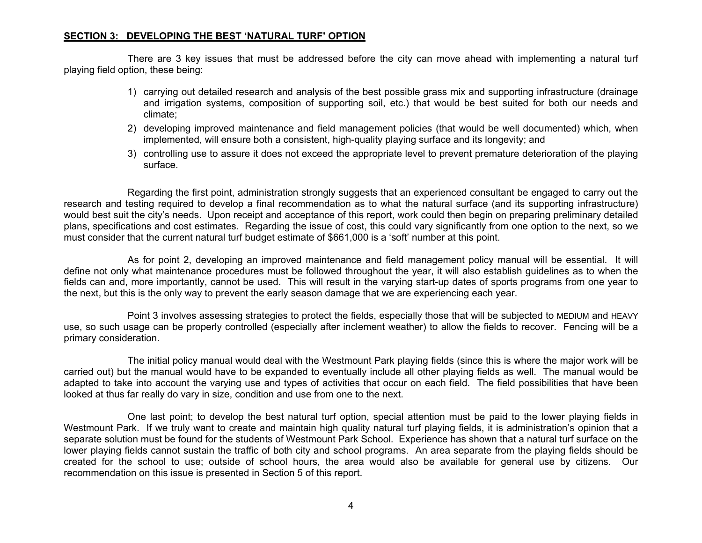### **SECTION 3: DEVELOPING THE BEST 'NATURAL TURF' OPTION**

There are 3 key issues that must be addressed before the city can move ahead with implementing a natural turf playing field option, these being:

- 1) carrying out detailed research and analysis of the best possible grass mix and supporting infrastructure (drainage and irrigation systems, composition of supporting soil, etc.) that would be best suited for both our needs and climate;
- 2) developing improved maintenance and field management policies (that would be well documented) which, when implemented, will ensure both a consistent, high-quality playing surface and its longevity; and
- 3) controlling use to assure it does not exceed the appropriate level to prevent premature deterioration of the playing surface.

Regarding the first point, administration strongly suggests that an experienced consultant be engaged to carry out the research and testing required to develop a final recommendation as to what the natural surface (and its supporting infrastructure) would best suit the city's needs. Upon receipt and acceptance of this report, work could then begin on preparing preliminary detailed plans, specifications and cost estimates. Regarding the issue of cost, this could vary significantly from one option to the next, so we must consider that the current natural turf budget estimate of \$661,000 is a 'soft' number at this point.

As for point 2, developing an improved maintenance and field management policy manual will be essential. It will define not only what maintenance procedures must be followed throughout the year, it will also establish guidelines as to when the fields can and, more importantly, cannot be used. This will result in the varying start-up dates of sports programs from one year to the next, but this is the only way to prevent the early season damage that we are experiencing each year.

Point 3 involves assessing strategies to protect the fields, especially those that will be subjected to MEDIUM and HEAVY use, so such usage can be properly controlled (especially after inclement weather) to allow the fields to recover. Fencing will be a primary consideration.

The initial policy manual would deal with the Westmount Park playing fields (since this is where the major work will be carried out) but the manual would have to be expanded to eventually include all other playing fields as well. The manual would be adapted to take into account the varying use and types of activities that occur on each field. The field possibilities that have been looked at thus far really do vary in size, condition and use from one to the next.

One last point; to develop the best natural turf option, special attention must be paid to the lower playing fields in Westmount Park. If we truly want to create and maintain high quality natural turf playing fields, it is administration's opinion that a separate solution must be found for the students of Westmount Park School. Experience has shown that a natural turf surface on the lower playing fields cannot sustain the traffic of both city and school programs. An area separate from the playing fields should be created for the school to use; outside of school hours, the area would also be available for general use by citizens. Our recommendation on this issue is presented in Section 5 of this report.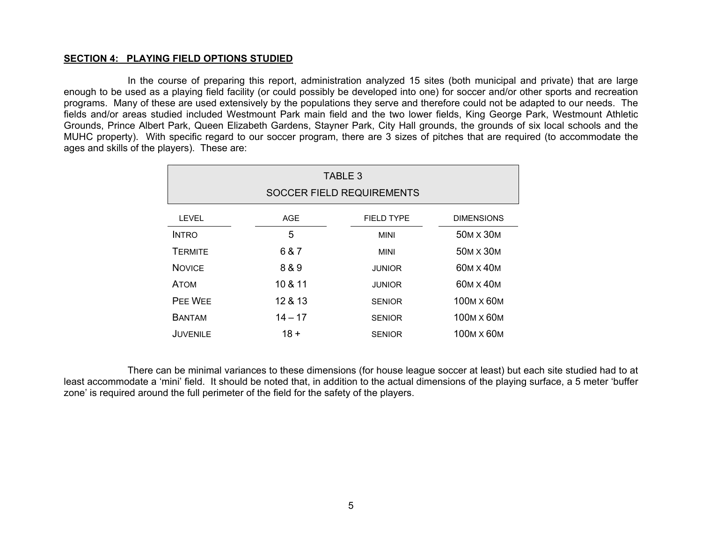### **SECTION 4: PLAYING FIELD OPTIONS STUDIED**

 In the course of preparing this report, administration analyzed 15 sites (both municipal and private) that are large enough to be used as a playing field facility (or could possibly be developed into one) for soccer and/or other sports and recreation programs. Many of these are used extensively by the populations they serve and therefore could not be adapted to our needs. The fields and/or areas studied included Westmount Park main field and the two lower fields, King George Park, Westmount Athletic Grounds, Prince Albert Park, Queen Elizabeth Gardens, Stayner Park, City Hall grounds, the grounds of six local schools and the MUHC property). With specific regard to our soccer program, there are 3 sizes of pitches that are required (to accommodate the ages and skills of the players). These are:

| TABLE 3<br><b>SOCCER FIELD REQUIREMENTS</b> |            |                   |                                    |  |  |
|---------------------------------------------|------------|-------------------|------------------------------------|--|--|
| LEVEL                                       | <b>AGE</b> | <b>FIELD TYPE</b> | <b>DIMENSIONS</b>                  |  |  |
| <b>INTRO</b>                                | 5          | <b>MINI</b>       | 50M X 30M                          |  |  |
| <b>TERMITE</b>                              | 6 & 7      | MINI              | 50M X 30M                          |  |  |
| <b>NOVICE</b>                               | 8 & 9      | <b>JUNIOR</b>     | 60M X 40M                          |  |  |
| <b>ATOM</b>                                 | 10 & 11    | <b>JUNIOR</b>     | 60M X 40M                          |  |  |
| PEE WEE                                     | 12 & 13    | <b>SENIOR</b>     | 100M X 60M                         |  |  |
| <b>BANTAM</b>                               | $14 - 17$  | <b>SENIOR</b>     | 100 <sub>M</sub> x 60 <sub>M</sub> |  |  |
| <b>JUVENILE</b>                             | $18 +$     | <b>SENIOR</b>     | 100M X 60M                         |  |  |

 There can be minimal variances to these dimensions (for house league soccer at least) but each site studied had to at least accommodate a 'mini' field. It should be noted that, in addition to the actual dimensions of the playing surface, a 5 meter 'buffer zone' is required around the full perimeter of the field for the safety of the players.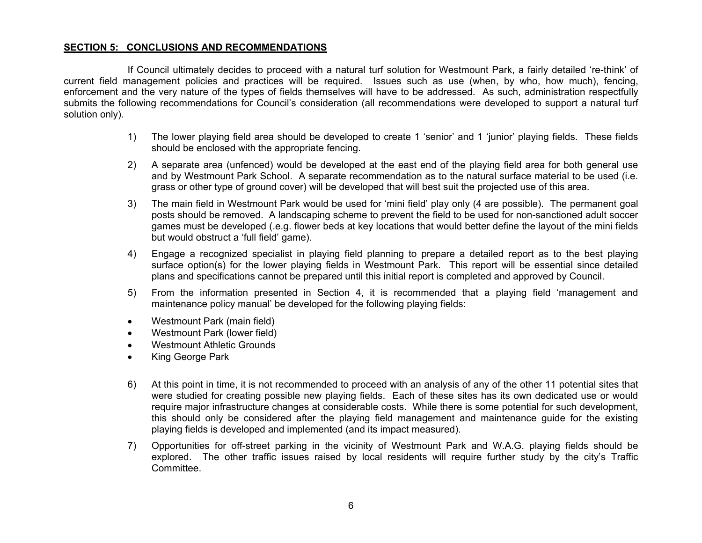## **SECTION 5: CONCLUSIONS AND RECOMMENDATIONS**

If Council ultimately decides to proceed with a natural turf solution for Westmount Park, a fairly detailed 're-think' of current field management policies and practices will be required. Issues such as use (when, by who, how much), fencing, enforcement and the very nature of the types of fields themselves will have to be addressed. As such, administration respectfully submits the following recommendations for Council's consideration (all recommendations were developed to support a natural turf solution only).

- 1) The lower playing field area should be developed to create 1 'senior' and 1 'junior' playing fields. These fields should be enclosed with the appropriate fencing.
- 2) A separate area (unfenced) would be developed at the east end of the playing field area for both general use and by Westmount Park School. A separate recommendation as to the natural surface material to be used (i.e. grass or other type of ground cover) will be developed that will best suit the projected use of this area.
- 3) The main field in Westmount Park would be used for 'mini field' play only (4 are possible). The permanent goal posts should be removed. A landscaping scheme to prevent the field to be used for non-sanctioned adult soccer games must be developed (.e.g. flower beds at key locations that would better define the layout of the mini fields but would obstruct a 'full field' game).
- 4) Engage a recognized specialist in playing field planning to prepare a detailed report as to the best playing surface option(s) for the lower playing fields in Westmount Park. This report will be essential since detailed plans and specifications cannot be prepared until this initial report is completed and approved by Council.
- 5) From the information presented in Section 4, it is recommended that a playing field 'management and maintenance policy manual' be developed for the following playing fields:
- Westmount Park (main field)
- Westmount Park (lower field)
- Westmount Athletic Grounds
- King George Park
- 6) At this point in time, it is not recommended to proceed with an analysis of any of the other 11 potential sites that were studied for creating possible new playing fields. Each of these sites has its own dedicated use or would require major infrastructure changes at considerable costs. While there is some potential for such development, this should only be considered after the playing field management and maintenance guide for the existing playing fields is developed and implemented (and its impact measured).
- 7) Opportunities for off-street parking in the vicinity of Westmount Park and W.A.G. playing fields should be explored. The other traffic issues raised by local residents will require further study by the city's Traffic Committee.